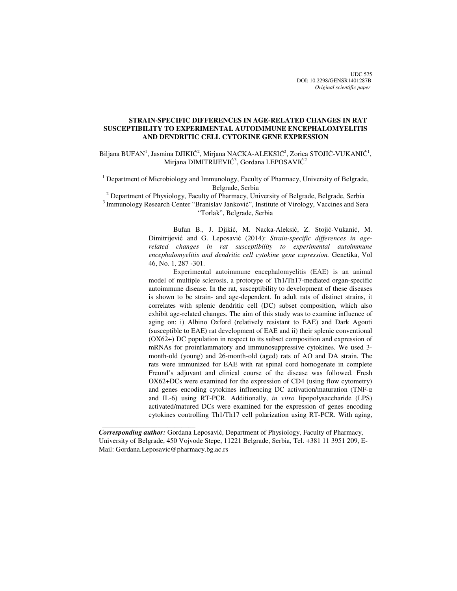UDC 575 DOI: 10.2298/GENSR1401287B *Original scientific paper*

# **STRAIN-SPECIFIC DIFFERENCES IN AGE-RELATED CHANGES IN RAT SUSCEPTIBILITY TO EXPERIMENTAL AUTOIMMUNE ENCEPHALOMYELITIS AND DENDRITIC CELL CYTOKINE GENE EXPRESSION**

Biljana BUFAN<sup>1</sup>, Jasmina DJIKIĆ<sup>2</sup>, Mirjana NACKA-ALEKSIĆ<sup>2</sup>, Zorica STOJIĆ-VUKANIĆ<sup>1</sup>, Mirjana DIMITRIJEVIĆ<sup>3</sup>, Gordana LEPOSAVIĆ<sup>2</sup>

<sup>1</sup> Department of Microbiology and Immunology, Faculty of Pharmacy, University of Belgrade, Belgrade, Serbia

 $2^{2}$  Department of Physiology, Faculty of Pharmacy, University of Belgrade, Belgrade, Serbia

<sup>3</sup> Immunology Research Center "Branislav Janković", Institute of Virology, Vaccines and Sera "Torlak", Belgrade, Serbia

> Bufan B., J. Djikić, M. Nacka-Aleksić, Z. Stojić-Vukanić, M. Dimitrijević and G. Leposavić (2014): *Strain-specific differences in agerelated changes in rat susceptibility to experimental autoimmune encephalomyelitis and dendritic cell cytokine gene expression.* Genetika, Vol 46, No. 1, 287 -301.

> Experimental autoimmune encephalomyelitis (EAE) is an animal model of multiple sclerosis, a prototype of Th1/Th17-mediated organ-specific autoimmune disease. In the rat, susceptibility to development of these diseases is shown to be strain- and age-dependent. In adult rats of distinct strains, it correlates with splenic dendritic cell (DC) subset composition, which also exhibit age-related changes. The aim of this study was to examine influence of aging on: i) Albino Oxford (relatively resistant to EAE) and Dark Agouti (susceptible to EAE) rat development of EAE and ii) their splenic conventional (OX62+) DC population in respect to its subset composition and expression of mRNAs for proinflammatory and immunosuppressive cytokines. We used 3 month-old (young) and 26-month-old (aged) rats of AO and DA strain. The rats were immunized for EAE with rat spinal cord homogenate in complete Freund's adjuvant and clinical course of the disease was followed. Fresh OX62+DCs were examined for the expression of CD4 (using flow cytometry) and genes encoding cytokines influencing DC activation/maturation (TNF-α and IL-6) using RT-PCR. Additionally, *in vitro* lipopolysaccharide (LPS) activated/matured DCs were examined for the expression of genes encoding cytokines controlling Th1/Th17 cell polarization using RT-PCR. With aging,

 $\frac{1}{2}$  , and the set of the set of the set of the set of the set of the set of the set of the set of the set of the set of the set of the set of the set of the set of the set of the set of the set of the set of the set

*Corresponding author:* Gordana Leposavić, Department of Physiology, Faculty of Pharmacy, University of Belgrade, 450 Vojvode Stepe, 11221 Belgrade, Serbia, Tel. +381 11 3951 209, E-Mail: Gordana.Leposavic@pharmacy.bg.ac.rs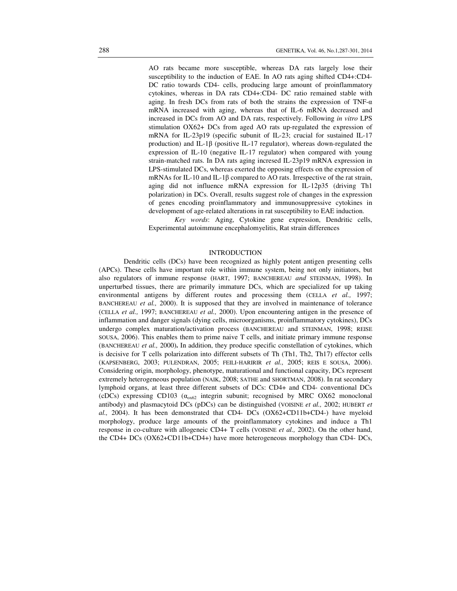AO rats became more susceptible, whereas DA rats largely lose their susceptibility to the induction of EAE. In AO rats aging shifted CD4+:CD4- DC ratio towards CD4- cells, producing large amount of proinflammatory cytokines, whereas in DA rats CD4+:CD4- DC ratio remained stable with aging. In fresh DCs from rats of both the strains the expression of TNF- $\alpha$ mRNA increased with aging, whereas that of IL-6 mRNA decreased and increased in DCs from AO and DA rats, respectively. Following *in vitro* LPS stimulation OX62+ DCs from aged AO rats up-regulated the expression of mRNA for IL-23p19 (specific subunit of IL-23; crucial for sustained IL-17 production) and IL-1 $\beta$  (positive IL-17 regulator), whereas down-regulated the expression of IL-10 (negative IL-17 regulator) when compared with young strain-matched rats. In DA rats aging incresed IL-23p19 mRNA expression in LPS-stimulated DCs, whereas exerted the opposing effects on the expression of mRNAs for IL-10 and IL-1β compared to AO rats. Irrespective of the rat strain, aging did not influence mRNA expression for IL-12p35 (driving Th1 polarization) in DCs. Overall, results suggest role of changes in the expression of genes encoding proinflammatory and immunosuppressive cytokines in development of age-related alterations in rat susceptibility to EAE induction.

 *Key words*: Aging, Cytokine gene expression, Dendritic cells, Experimental autoimmune encephalomyelitis, Rat strain differences

## INTRODUCTION

Dendritic cells (DCs) have been recognized as highly potent antigen presenting cells (APCs). These cells have important role within immune system, being not only initiators, but also regulators of immune response (HART, 1997; BANCHEREAU *and* STEINMAN, 1998). In unperturbed tissues, there are primarily immature DCs, which are specialized for up taking environmental antigens by different routes and processing them (CELLA *et al.,* 1997; BANCHEREAU *et al.,* 2000). It is supposed that they are involved in maintenance of tolerance (CELLA *et al.,* 1997; BANCHEREAU *et al.,* 2000). Upon encountering antigen in the presence of inflammation and danger signals (dying cells, microorganisms, proinflammatory cytokines), DCs undergo complex maturation/activation process (BANCHEREAU and STEINMAN, 1998; REISE SOUSA, 2006). This enables them to prime naive T cells, and initiate primary immune response (BANCHEREAU *et al.,* 2000)**.** In addition, they produce specific constellation of cytokines, which is decisive for T cells polarization into different subsets of Th (Th1, Th2, Th17) effector cells (KAPSENBERG, 2003; PULENDRAN, 2005; FEILI-HARIRIR *et al.,* 2005; REIS E SOUSA, 2006). Considering origin, morphology, phenotype, maturational and functional capacity, DCs represent extremely heterogeneous population (NAIK, 2008; SATHE and SHORTMAN, 2008). In rat secondary lymphoid organs, at least three different subsets of DCs: CD4+ and CD4- conventional DCs (cDCs) expressing CD103 ( $\alpha_{\text{o}x62}$  integrin subunit; recognised by MRC OX62 monoclonal antibody) and plasmacytoid DCs (pDCs) can be distinguished (VOISINE *et al.,* 2002; HUBERT *et al.,* 2004). It has been demonstrated that CD4- DCs (OX62+CD11b+CD4-) have myeloid morphology, produce large amounts of the proinflammatory cytokines and induce a Th1 response in co-culture with allogeneic CD4+ T cells (VOISINE *et al.,* 2002). On the other hand, the CD4+ DCs (OX62+CD11b+CD4+) have more heterogeneous morphology than CD4- DCs,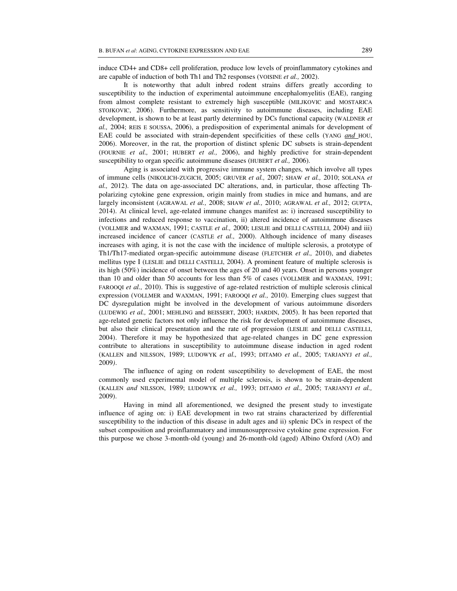induce CD4+ and CD8+ cell proliferation, produce low levels of proinflammatory cytokines and are capable of induction of both Th1 and Th2 responses (VOISINE *et al.,* 2002).

It is noteworthy that adult inbred rodent strains differs greatly according to susceptibility to the induction of experimental autoimmune encephalomyelitis (EAE), ranging from almost complete resistant to extremely high susceptible (MILJKOVIC and MOSTARICA STOJKOVIC, 2006). Furthermore, as sensitivity to autoimmune diseases, including EAE development, is shown to be at least partly determined by DCs functional capacity (WALDNER *et al.,* 2004; REIS E SOUSSA, 2006), a predisposition of experimental animals for development of EAE could be associated with strain-dependent specificities of these cells (YANG *and* HOU, 2006). Moreover, in the rat, the proportion of distinct splenic DC subsets is strain-dependent (FOURNIE *et al.,* 2001; HUBERT *et al.,* 2006), and highly predictive for strain-dependent susceptibility to organ specific autoimmune diseases (HUBERT *et al.,* 2006).

Aging is associated with progressive immune system changes, which involve all types of immune cells (NIKOLICH-ZUGICH, 2005; GRUVER *et al.,* 2007; SHAW *et al.,* 2010; SOLANA *et al.,* 2012). The data on age-associated DC alterations, and, in particular, those affecting Thpolarizing cytokine gene expression, origin mainly from studies in mice and humans, and are largely inconsistent (AGRAWAL *et al.,* 2008; SHAW *et al.,* 2010; AGRAWAL *et al.,* 2012; GUPTA, 2014). At clinical level, age-related immune changes manifest as: i) increased susceptibility to infections and reduced response to vaccination, ii) altered incidence of autoimmune diseases (VOLLMER and WAXMAN, 1991; CASTLE *et al.,* 2000; LESLIE and DELLI CASTELLI, 2004) and iii) increased incidence of cancer (CASTLE *et al.,* 2000). Although incidence of many diseases increases with aging, it is not the case with the incidence of multiple sclerosis, a prototype of Th1/Th17-mediated organ-specific autoimmune disease (FLETCHER *et al.,* 2010), and diabetes mellitus type I (LESLIE and DELLI CASTELLI, 2004). A prominent feature of multiple sclerosis is its high (50%) incidence of onset between the ages of 20 and 40 years. Onset in persons younger than 10 and older than 50 accounts for less than 5% of cases (VOLLMER and WAXMAN, 1991; FAROOQI *et al.,* 2010). This is suggestive of age-related restriction of multiple sclerosis clinical expression (VOLLMER and WAXMAN, 1991; FAROOQI *et al.,* 2010). Emerging clues suggest that DC dysregulation might be involved in the development of various autoimmune disorders (LUDEWIG *et al.,* 2001; MEHLING and BEISSERT, 2003; HARDIN, 2005). It has been reported that age-related genetic factors not only influence the risk for development of autoimmune diseases, but also their clinical presentation and the rate of progression (LESLIE and DELLI CASTELLI, 2004). Therefore it may be hypothesized that age-related changes in DC gene expression contribute to alterations in susceptibility to autoimmune disease induction in aged rodent (KALLEN and NILSSON, 1989; LUDOWYK *et al.,* 1993; DITAMO *et al.,* 2005; TARJANYJ *et al.,*  2009*)*.

The influence of aging on rodent susceptibility to development of EAE, the most commonly used experimental model of multiple sclerosis, is shown to be strain-dependent (KALLEN *and* NILSSON, 1989; LUDOWYK *et al.,* 1993; DITAMO *et al.,* 2005; TARJANYJ *et al.,* 2009).

Having in mind all aforementioned, we designed the present study to investigate influence of aging on: i) EAE development in two rat strains characterized by differential susceptibility to the induction of this disease in adult ages and ii) splenic DCs in respect of the subset composition and proinflammatory and immunosuppressive cytokine gene expression. For this purpose we chose 3-month-old (young) and 26-month-old (aged) Albino Oxford (AO) and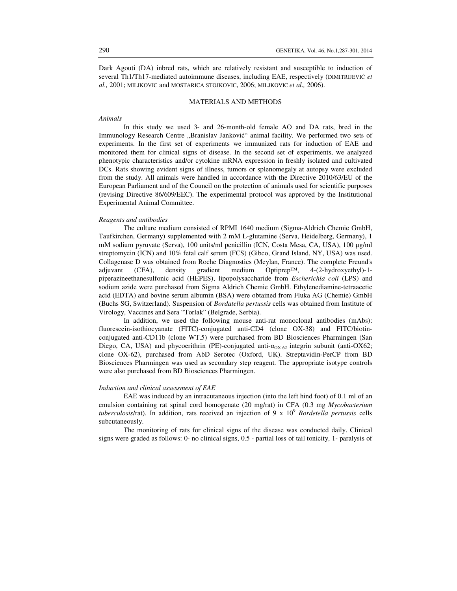Dark Agouti (DA) inbred rats, which are relatively resistant and susceptible to induction of several Th1/Th17-mediated autoimmune diseases, including EAE, respectively (DIMITRIJEVIĆ *et al.,* 2001; MILJKOVIC and MOSTARICA STOJKOVIC, 2006; MILJKOVIC *et al.,* 2006).

## MATERIALS AND METHODS

## *Animals*

In this study we used 3- and 26-month-old female AO and DA rats, bred in the Immunology Research Centre "Branislav Janković" animal facility. We performed two sets of experiments. In the first set of experiments we immunized rats for induction of EAE and monitored them for clinical signs of disease. In the second set of experiments, we analyzed phenotypic characteristics and/or cytokine mRNA expression in freshly isolated and cultivated DCs. Rats showing evident signs of illness, tumors or splenomegaly at autopsy were excluded from the study. All animals were handled in accordance with the Directive 2010/63/EU of the European Parliament and of the Council on the protection of animals used for scientific purposes (revising Directive 86/609/EEC). The experimental protocol was approved by the Institutional Experimental Animal Committee.

#### *Reagents and antibodies*

The culture medium consisted of RPMI 1640 medium (Sigma-Aldrich Chemie GmbH, Taufkirchen, Germany) supplemented with 2 mM L-glutamine (Serva, Heidelberg, Germany), 1 mM sodium pyruvate (Serva), 100 units/ml penicillin (ICN, Costa Mesa, CA, USA), 100 µg/ml streptomycin (ICN) and 10% fetal calf serum (FCS) (Gibco, Grand Island, NY, USA) was used. Collagenase D was obtained from Roche Diagnostics (Meylan, France). The complete Freund's adjuvant (CFA), density gradient medium Optiprep™, 4-(2-hydroxyethyl)-1 piperazineethanesulfonic acid (HEPES), lipopolysaccharide from *Escherichia coli* (LPS) and sodium azide were purchased from Sigma Aldrich Chemie GmbH. Ethylenediamine-tetraacetic acid (EDTA) and bovine serum albumin (BSA) were obtained from Fluka AG (Chemie) GmbH (Buchs SG, Switzerland). Suspension of *Bordatella pertussis* cells was obtained from Institute of Virology, Vaccines and Sera "Torlak" (Belgrade, Serbia).

In addition, we used the following mouse anti-rat monoclonal antibodies (mAbs): fluorescein-isothiocyanate (FITC)-conjugated anti-CD4 (clone OX-38) and FITC/biotinconjugated anti-CD11b (clone WT.5) were purchased from BD Biosciences Pharmingen (San Diego, CA, USA) and phycoerithrin (PE)-conjugated anti- $\alpha_{OX-62}$  integrin subunit (anti-OX62; clone OX-62), purchased from AbD Serotec (Oxford, UK). Streptavidin-PerCP from BD Biosciences Pharmingen was used as secondary step reagent. The appropriate isotype controls were also purchased from BD Biosciences Pharmingen.

### *Induction and clinical assessment of EAE*

EAE was induced by an intracutaneous injection (into the left hind foot) of 0.1 ml of an emulsion containing rat spinal cord homogenate (20 mg/rat) in CFA (0.3 mg *Mycobacterium*  tuberculosis/rat). In addition, rats received an injection of 9 x 10<sup>9</sup> Bordetella pertussis cells subcutaneously.

The monitoring of rats for clinical signs of the disease was conducted daily. Clinical signs were graded as follows: 0- no clinical signs, 0.5 - partial loss of tail tonicity, 1- paralysis of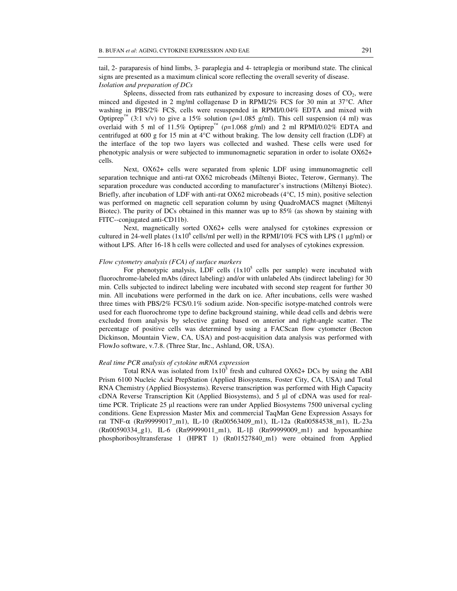tail, 2- paraparesis of hind limbs, 3- paraplegia and 4- tetraplegia or moribund state. The clinical signs are presented as a maximum clinical score reflecting the overall severity of disease. *Isolation and preparation of DCs* 

Spleens, dissected from rats euthanized by exposure to increasing doses of  $CO<sub>2</sub>$ , were minced and digested in 2 mg/ml collagenase D in RPMI/2% FCS for 30 min at 37°C. After washing in PBS/2% FCS, cells were resuspended in RPMI/0.04% EDTA and mixed with Optiprep<sup>™</sup> (3:1 v/v) to give a 15% solution ( $p=1.085$  g/ml). This cell suspension (4 ml) was overlaid with 5 ml of 11.5% Optiprep™ ( $p=1.068$  g/ml) and 2 ml RPMI/0.02% EDTA and centrifuged at 600 g for 15 min at 4°C without braking. The low density cell fraction (LDF) at the interface of the top two layers was collected and washed. These cells were used for phenotypic analysis or were subjected to immunomagnetic separation in order to isolate OX62+ cells.

Next, OX62+ cells were separated from splenic LDF using immunomagnetic cell separation technique and anti-rat OX62 microbeads (Miltenyi Biotec, Teterow, Germany). The separation procedure was conducted according to manufacturer's instructions (Miltenyi Biotec). Briefly, after incubation of LDF with anti-rat OX62 microbeads (4°C, 15 min), positive selection was performed on magnetic cell separation column by using QuadroMACS magnet (Miltenyi Biotec). The purity of DCs obtained in this manner was up to 85% (as shown by staining with FITC--conjugated anti-CD11b).

Next, magnetically sorted OX62+ cells were analysed for cytokines expression or cultured in 24-well plates  $(1x10^6 \text{ cells/ml per well})$  in the RPMI/10% FCS with LPS  $(1 \mu g/ml)$  or without LPS. After 16-18 h cells were collected and used for analyses of cytokines expression.

## *Flow cytometry analysis (FCA) of surface markers*

For phenotypic analysis, LDF cells  $(1x10^5 \text{ cells per sample})$  were incubated with fluorochrome-labeled mAbs (direct labeling) and/or with unlabeled Abs (indirect labeling) for 30 min. Cells subjected to indirect labeling were incubated with second step reagent for further 30 min. All incubations were performed in the dark on ice. After incubations, cells were washed three times with PBS/2% FCS/0.1% sodium azide. Non-specific isotype-matched controls were used for each fluorochrome type to define background staining, while dead cells and debris were excluded from analysis by selective gating based on anterior and right-angle scatter. The percentage of positive cells was determined by using a FACScan flow cytometer (Becton Dickinson, Mountain View, CA, USA) and post-acquisition data analysis was performed with FlowJo software, v.7.8. (Three Star, Inc., Ashland, OR, USA).

#### *Real time PCR analysis of cytokine mRNA expression*

Total RNA was isolated from  $1x10^5$  fresh and cultured OX62+ DCs by using the ABI Prism 6100 Nucleic Acid PrepStation (Applied Biosystems, Foster City, CA, USA) and Total RNA Chemistry (Applied Biosystems). Reverse transcription was performed with High Capacity cDNA Reverse Transcription Kit (Applied Biosystems), and 5 µl of cDNA was used for realtime PCR. Triplicate 25 µl reactions were ran under Applied Biosystems 7500 universal cycling conditions. Gene Expression Master Mix and commercial TaqMan Gene Expression Assays for rat TNF-α (Rn99999017\_m1), IL-10 (Rn00563409\_m1), IL-12a (Rn00584538\_m1), IL-23a (Rn00590334\_g1), IL-6 (Rn99999011\_m1), IL-1β (Rn99999009\_m1) and hypoxanthine phosphoribosyltransferase 1 (HPRT 1) (Rn01527840\_m1) were obtained from Applied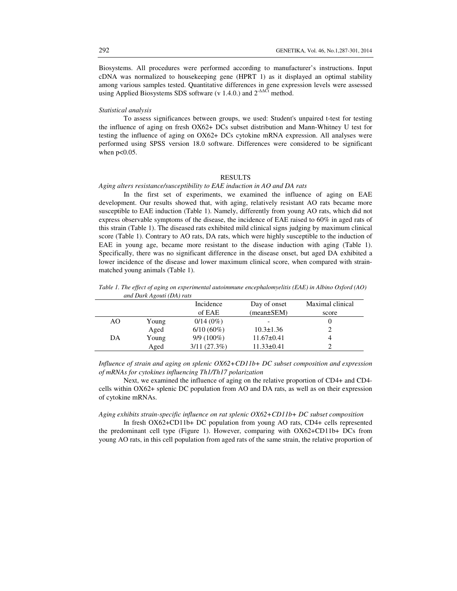Biosystems. All procedures were performed according to manufacturer's instructions. Input cDNA was normalized to housekeeping gene (HPRT 1) as it displayed an optimal stability among various samples tested. Quantitative differences in gene expression levels were assessed using Applied Biosystems SDS software (v 1.4.0.) and  $2^{\Delta\Delta\bar{C}t}$  method.

## *Statistical analysis*

To assess significances between groups, we used: Student's unpaired t-test for testing the influence of aging on fresh OX62+ DCs subset distribution and Mann-Whitney U test for testing the influence of aging on OX62+ DCs cytokine mRNA expression. All analyses were performed using SPSS version 18.0 software. Differences were considered to be significant when  $p<0.05$ .

## **RESULTS**

# *Aging alters resistance/susceptibility to EAE induction in AO and DA rats*

In the first set of experiments, we examined the influence of aging on EAE development. Our results showed that, with aging, relatively resistant AO rats became more susceptible to EAE induction (Table 1). Namely, differently from young AO rats, which did not express observable symptoms of the disease, the incidence of EAE raised to 60% in aged rats of this strain (Table 1). The diseased rats exhibited mild clinical signs judging by maximum clinical score (Table 1). Contrary to AO rats, DA rats, which were highly susceptible to the induction of EAE in young age, became more resistant to the disease induction with aging (Table 1). Specifically, there was no significant difference in the disease onset, but aged DA exhibited a lower incidence of the disease and lower maximum clinical score, when compared with strainmatched young animals (Table 1).

*Table 1. The effect of aging on experimental autoimmune encephalomyelitis (EAE) in Albino Oxford (AO) and Dark Agouti (DA) rats*

|    |       | Incidence    | Day of onset     | Maximal clinical |
|----|-------|--------------|------------------|------------------|
|    |       | of EAE       | $(mean \pm SEM)$ | score            |
| AΟ | Young | $0/14(0\%)$  |                  |                  |
|    | Aged  | $6/10(60\%)$ | $10.3 \pm 1.36$  |                  |
| DA | Young | $9/9(100\%)$ | $11.67 \pm 0.41$ |                  |
|    | Aged  | 3/11(27.3%)  | $11.33 \pm 0.41$ |                  |

*Influence of strain and aging on splenic OX62+CD11b+ DC subset composition and expression of mRNAs for cytokines influencing Th1/Th17 polarization*

Next, we examined the influence of aging on the relative proportion of CD4+ and CD4 cells within OX62+ splenic DC population from AO and DA rats, as well as on their expression of cytokine mRNAs.

## *Aging exhibits strain-specific influence on rat splenic OX62+CD11b+ DC subset composition*

In fresh OX62+CD11b+ DC population from young AO rats, CD4+ cells represented the predominant cell type (Figure 1). However, comparing with OX62+CD11b+ DCs from young AO rats, in this cell population from aged rats of the same strain, the relative proportion of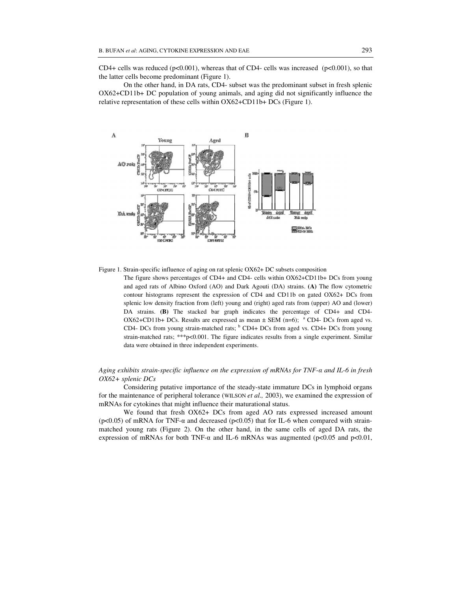CD4+ cells was reduced ( $p<0.001$ ), whereas that of CD4- cells was increased ( $p<0.001$ ), so that the latter cells become predominant (Figure 1).

On the other hand, in DA rats, CD4- subset was the predominant subset in fresh splenic OX62+CD11b+ DC population of young animals, and aging did not significantly influence the relative representation of these cells within OX62+CD11b+ DCs (Figure 1).



Figure 1. Strain-specific influence of aging on rat splenic OX62+ DC subsets composition

The figure shows percentages of CD4+ and CD4- cells within OX62+CD11b+ DCs from young and aged rats of Albino Oxford (AO) and Dark Agouti (DA) strains. **(A)** The flow cytometric contour histograms represent the expression of CD4 and CD11b on gated OX62+ DCs from splenic low density fraction from (left) young and (right) aged rats from (upper) AO and (lower) DA strains. **(B)** The stacked bar graph indicates the percentage of CD4+ and CD4- OX62+CD11b+ DCs. Results are expressed as mean  $\pm$  SEM (n=6); <sup>a</sup> CD4- DCs from aged vs. CD4- DCs from young strain-matched rats;  $<sup>b</sup>$  CD4+ DCs from aged vs. CD4+ DCs from young</sup> strain-matched rats; \*\*\*p<0.001. The figure indicates results from a single experiment. Similar data were obtained in three independent experiments.

## *Aging exhibits strain-specific influence on the expression of mRNAs for TNF-*α *and IL-6 in fresh OX62+ splenic DCs*

Considering putative importance of the steady-state immature DCs in lymphoid organs for the maintenance of peripheral tolerance (WILSON *et al.,* 2003), we examined the expression of mRNAs for cytokines that might influence their maturational status.

We found that fresh OX62+ DCs from aged AO rats expressed increased amount (p<0.05) of mRNA for TNF- $\alpha$  and decreased (p<0.05) that for IL-6 when compared with strainmatched young rats (Figure 2). On the other hand, in the same cells of aged DA rats, the expression of mRNAs for both TNF- $\alpha$  and IL-6 mRNAs was augmented (p<0.05 and p<0.01,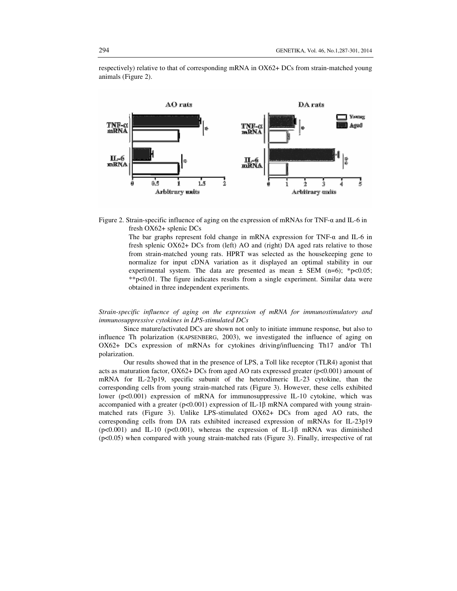respectively) relative to that of corresponding mRNA in OX62+ DCs from strain-matched young animals (Figure 2).



Figure 2. Strain-specific influence of aging on the expression of mRNAs for TNF-α and IL-6 in fresh OX62+ splenic DCs

> The bar graphs represent fold change in mRNA expression for TNF-α and IL-6 in fresh splenic OX62+ DCs from (left) AO and (right) DA aged rats relative to those from strain-matched young rats. HPRT was selected as the housekeeping gene to normalize for input cDNA variation as it displayed an optimal stability in our experimental system. The data are presented as mean  $\pm$  SEM (n=6); \*p<0.05; \*\*p<0.01. The figure indicates results from a single experiment. Similar data were obtained in three independent experiments.

*Strain-specific influence of aging on the expression of mRNA for immunostimulatory and immunosuppressive cytokines in LPS-stimulated DCs* 

Since mature/activated DCs are shown not only to initiate immune response, but also to influence Th polarization (KAPSENBERG, 2003), we investigated the influence of aging on OX62+ DCs expression of mRNAs for cytokines driving/influencing Th17 and/or Th1 polarization.

Our results showed that in the presence of LPS, a Toll like receptor (TLR4) agonist that acts as maturation factor,  $OX62 + DCs$  from aged AO rats expressed greater ( $p<0.001$ ) amount of mRNA for IL-23p19, specific subunit of the heterodimeric IL-23 cytokine, than the corresponding cells from young strain-matched rats (Figure 3). However, these cells exhibited lower ( $p<0.001$ ) expression of mRNA for immunosuppressive IL-10 cytokine, which was accompanied with a greater ( $p<0.001$ ) expression of IL-1 $\beta$  mRNA compared with young strainmatched rats (Figure 3). Unlike LPS-stimulated OX62+ DCs from aged AO rats, the corresponding cells from DA rats exhibited increased expression of mRNAs for IL-23p19  $(p<0.001)$  and IL-10 (p $<0.001$ ), whereas the expression of IL-1 $\beta$  mRNA was diminished (p<0.05) when compared with young strain-matched rats (Figure 3). Finally, irrespective of rat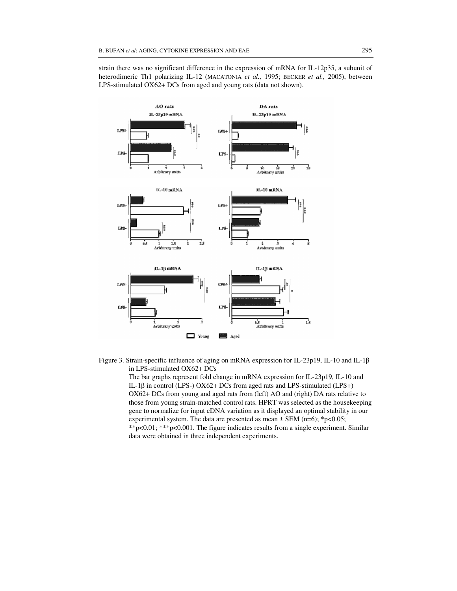strain there was no significant difference in the expression of mRNA for IL-12p35, a subunit of heterodimeric Th1 polarizing IL-12 (MACATONIA *et al.,* 1995; BECKER *et al.,* 2005), between LPS-stimulated OX62+ DCs from aged and young rats (data not shown).



Figure 3. Strain-specific influence of aging on mRNA expression for IL-23p19, IL-10 and IL-1β in LPS-stimulated OX62+ DCs

> The bar graphs represent fold change in mRNA expression for IL-23p19, IL-10 and IL-1β in control (LPS-) OX62+ DCs from aged rats and LPS-stimulated (LPS+) OX62+ DCs from young and aged rats from (left) AO and (right) DA rats relative to those from young strain-matched control rats. HPRT was selected as the housekeeping gene to normalize for input cDNA variation as it displayed an optimal stability in our experimental system. The data are presented as mean  $\pm$  SEM (n=6); \*p<0.05; \*\*p<0.01; \*\*\*p<0.001. The figure indicates results from a single experiment. Similar data were obtained in three independent experiments.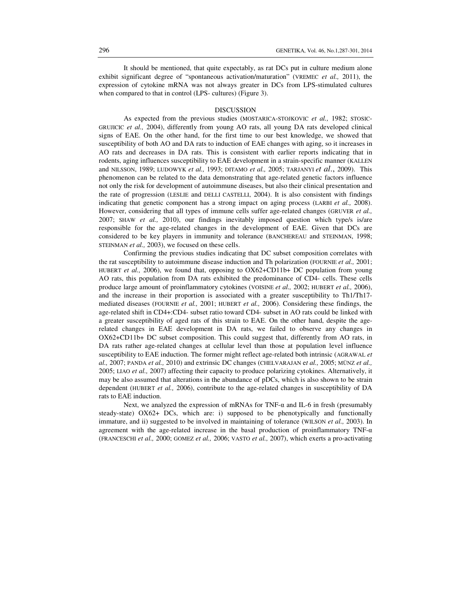It should be mentioned, that quite expectably, as rat DCs put in culture medium alone exhibit significant degree of "spontaneous activation/maturation" (VREMEC *et al.,* 2011), the expression of cytokine mRNA was not always greater in DCs from LPS-stimulated cultures when compared to that in control (LPS- cultures) (Figure 3).

## DISCUSSION

As expected from the previous studies (MOSTARICA-STOJKOVIC *et al.,* 1982; STOSIC-GRUJICIC *et al.,* 2004), differently from young AO rats, all young DA rats developed clinical signs of EAE. On the other hand, for the first time to our best knowledge, we showed that susceptibility of both AO and DA rats to induction of EAE changes with aging, so it increases in AO rats and decreases in DA rats. This is consistent with earlier reports indicating that in rodents, aging influences susceptibility to EAE development in a strain-specific manner (KALLEN and NILSSON, 1989; LUDOWYK *et al.,* 1993; DITAMO *et al.,* 2005; TARJANYI *et al*., 2009). This phenomenon can be related to the data demonstrating that age-related genetic factors influence not only the risk for development of autoimmune diseases, but also their clinical presentation and the rate of progression (LESLIE and DELLI CASTELLI, 2004). It is also consistent with findings indicating that genetic component has a strong impact on aging process (LARBI *et al.,* 2008). However, considering that all types of immune cells suffer age-related changes (GRUVER *et al.,* 2007; SHAW *et al.,* 2010), our findings inevitably imposed question which type/s is/are responsible for the age-related changes in the development of EAE. Given that DCs are considered to be key players in immunity and tolerance (BANCHEREAU and STEINMAN, 1998; STEINMAN *et al.,* 2003), we focused on these cells.

Confirming the previous studies indicating that DC subset composition correlates with the rat susceptibility to autoimmune disease induction and Th polarization (FOURNIE *et al.,* 2001; HUBERT *et al.,* 2006), we found that, opposing to OX62+CD11b+ DC population from young AO rats, this population from DA rats exhibited the predominance of CD4- cells. These cells produce large amount of proinflammatory cytokines (VOISINE *et al.,* 2002; HUBERT *et al.,* 2006), and the increase in their proportion is associated with a greater susceptibility to Th1/Th17 mediated diseases (FOURNIE *et al.,* 2001; HUBERT *et al.,* 2006). Considering these findings, the age-related shift in CD4+:CD4- subset ratio toward CD4- subset in AO rats could be linked with a greater susceptibility of aged rats of this strain to EAE. On the other hand, despite the agerelated changes in EAE development in DA rats, we failed to observe any changes in OX62+CD11b+ DC subset composition. This could suggest that, differently from AO rats, in DA rats rather age-related changes at cellular level than those at population level influence susceptibility to EAE induction. The former might reflect age-related both intrinsic (AGRAWAL *et al.,* 2007; PANDA *et al.,* 2010) and extrinsic DC changes (CHELVARAJAN e*t al.,* 2005; MÜNZ *et al.,* 2005; LIAO *et al.,* 2007) affecting their capacity to produce polarizing cytokines. Alternatively, it may be also assumed that alterations in the abundance of pDCs, which is also shown to be strain dependent (HUBERT *et al.,* 2006), contribute to the age-related changes in susceptibility of DA rats to EAE induction.

Next, we analyzed the expression of mRNAs for TNF- $\alpha$  and IL-6 in fresh (presumably steady-state) OX62+ DCs, which are: i) supposed to be phenotypically and functionally immature, and ii) suggested to be involved in maintaining of tolerance (WILSON *et al.,* 2003). In agreement with the age-related increase in the basal production of proinflammatory TNF-α (FRANCESCHI *et al.,* 2000; GOMEZ *et al.,* 2006; VASTO *et al.,* 2007), which exerts a pro-activating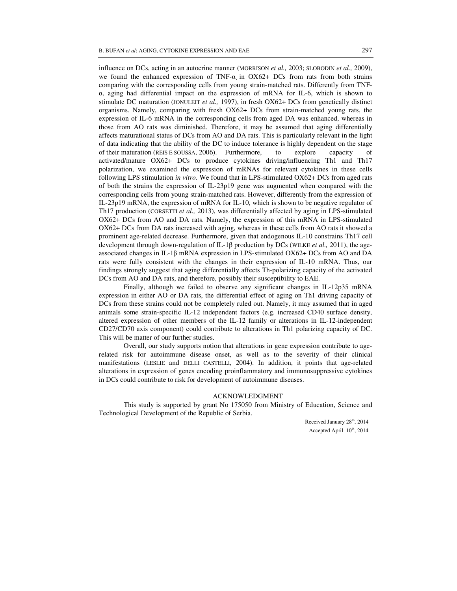influence on DCs, acting in an autocrine manner (MORRISON *et al.,* 2003; SLOBODIN *et al.,* 2009), we found the enhanced expression of TNF- $\alpha$  in OX62+ DCs from rats from both strains comparing with the corresponding cells from young strain-matched rats. Differently from TNFα, aging had differential impact on the expression of mRNA for IL-6, which is shown to stimulate DC maturation (JONULEIT *et al.,* 1997), in fresh OX62+ DCs from genetically distinct organisms. Namely, comparing with fresh OX62+ DCs from strain-matched young rats, the expression of IL-6 mRNA in the corresponding cells from aged DA was enhanced, whereas in those from AO rats was diminished. Therefore, it may be assumed that aging differentially affects maturational status of DCs from AO and DA rats. This is particularly relevant in the light of data indicating that the ability of the DC to induce tolerance is highly dependent on the stage of their maturation (REIS E SOUSSA, 2006). Furthermore, to explore capacity of activated/mature OX62+ DCs to produce cytokines driving/influencing Th1 and Th17 polarization, we examined the expression of mRNAs for relevant cytokines in these cells following LPS stimulation *in vitro.* We found that in LPS-stimulated OX62+ DCs from aged rats of both the strains the expression of IL-23p19 gene was augmented when compared with the corresponding cells from young strain-matched rats. However, differently from the expression of IL-23p19 mRNA, the expression of mRNA for IL-10, which is shown to be negative regulator of Th17 production (CORSETTI *et al.,* 2013), was differentially affected by aging in LPS-stimulated OX62+ DCs from AO and DA rats. Namely, the expression of this mRNA in LPS-stimulated OX62+ DCs from DA rats increased with aging, whereas in these cells from AO rats it showed a prominent age-related decrease. Furthermore, given that endogenous IL-10 constrains Th17 cell development through down-regulation of IL-1β production by DCs (WILKE *et al.,* 2011), the ageassociated changes in IL-1β mRNA expression in LPS-stimulated OX62+ DCs from AO and DA rats were fully consistent with the changes in their expression of IL-10 mRNA. Thus, our findings strongly suggest that aging differentially affects Th-polarizing capacity of the activated DCs from AO and DA rats, and therefore, possibly their susceptibility to EAE.

Finally, although we failed to observe any significant changes in IL-12p35 mRNA expression in either AO or DA rats, the differential effect of aging on Th1 driving capacity of DCs from these strains could not be completely ruled out. Namely, it may assumed that in aged animals some strain-specific IL-12 independent factors (e.g. increased CD40 surface density, altered expression of other members of the IL-12 family or alterations in IL-12-independent CD27/CD70 axis component) could contribute to alterations in Th1 polarizing capacity of DC. This will be matter of our further studies.

Overall, our study supports notion that alterations in gene expression contribute to agerelated risk for autoimmune disease onset, as well as to the severity of their clinical manifestations (LESLIE and DELLI CASTELLI, 2004). In addition, it points that age-related alterations in expression of genes encoding proinflammatory and immunosuppressive cytokines in DCs could contribute to risk for development of autoimmune diseases.

## ACKNOWLEDGMENT

This study is supported by grant No 175050 from Ministry of Education, Science and Technological Development of the Republic of Serbia.

> Received January 28<sup>th</sup>, 2014 Accepted April  $10^{th}$ , 2014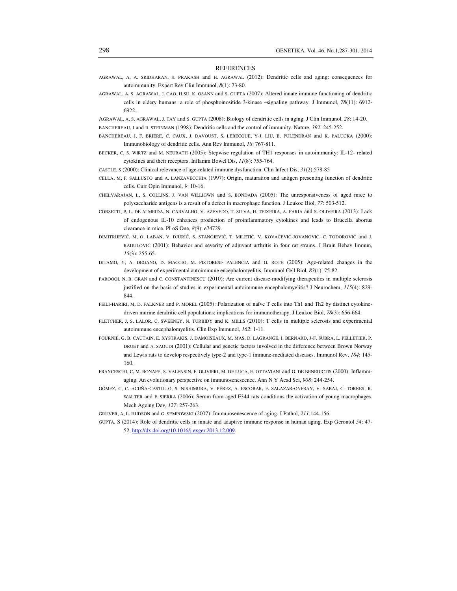#### REFERENCES

- AGRAWAL, A, A. SRIDHARAN, S. PRAKASH and H. AGRAWAL (2012): Dendritic cells and aging: consequences for autoimmunity. Expert Rev Clin Immunol, *8*(1): 73-80.
- AGRAWAL, A, S. AGRAWAL, J. CAO, H.SU, K. OSANN and S. GUPTA (2007): Altered innate immune functioning of dendritic cells in eldery humans: a role of phosphoinositide 3-kinase –signaling pathway. J Immunol, *78*(11): 6912- 6922.

AGRAWAL, A, S. AGRAWAL, J. TAY and S. GUPTA (2008): Biology of dendritic cells in aging. J Clin Immunol, *28*: 14-20. BANCHEREAU, J and R. STEINMAN (1998): Dendritic cells and the control of immunity. Nature, *392*: 245-252.

- BANCHEREAU, J, F. BRIERE, C. CAUX, J. DAVOUST, S. LEBECQUE, Y-J. LIU, B. PULENDRAN and K. PALUCKA (2000): Immunobiology of dendritic cells. Ann Rev Immunol, *18*: 767-811.
- BECKER, C, S. WIRTZ and M. NEURATH (2005): Stepwise regulation of TH1 responses in autoimmunity: IL-12- related cytokines and their receptors. Inflamm Bowel Dis, *11*(8): 755-764.
- CASTLE, S (2000): Clinical relevance of age-related immune dysfunction. Clin Infect Dis, *31*(2):578-85
- CELLA, M, F. SALLUSTO and A. LANZAVECCHIA (1997): Origin, maturation and antigen presenting function of dendritic cells. Curr Opin Immunol, *9*: 10-16.
- CHELVARAJAN, L, S. COLLINS, J. VAN WILLIGWN and S. BONDADA (2005): The unresponsiveness of aged mice to polysaccharide antigens is a result of a defect in macrophage function. J Leukoc Biol, *77*: 503-512.
- CORSETTI, P, L. DE ALMEIDA, N. CARVALHO, V. AZEVEDO, T. SILVA, H. TEIXEIRA, A. FARIA and S. OLIVEIRA (2013): Lack of endogenous IL-10 enhances production of proinflammatory cytokines and leads to Brucella abortus clearance in mice. PLoS One, *8*(9): e74729.
- DIMITRIJEVIĆ, M, O. LABAN, V. DJURIĆ, S. STANOJEVIĆ, T. MILETIĆ, V. KOVAČEVIĆ-JOVANOVIĆ, C. TODOROVIĆ and J. RADULOVIĆ (2001): Behavior and severity of adjuvant arthritis in four rat strains. J Brain Behav Immun, *15*(3): 255-65.
- DITAMO, Y, A. DEGANO, D. MACCIO, M. PISTORESI- PALENCIA and G. ROTH (2005): Age-related changes in the development of experimental autoimmune encephalomyelitis. Immunol Cell Biol, *83*(1): 75-82.
- FAROOQI, N, B. GRAN and C. CONSTANTINESCU (2010): Are current disease-modifying therapeutics in multiple sclerosis justified on the basis of studies in experimental autoimmune encephalomyelitis? J Neurochem, *115*(4): 829- 844.
- FEILI-HARIRI, M, D. FALKNER and P. MOREL (2005): Polarization of naïve T cells into Th1 and Th2 by distinct cytokinedriven murine dendritic cell populations: implications for immunotherapy. J Leukoc Biol, *78*(3): 656-664.
- FLETCHER, J, S. LALOR, C. SWEENEY, N. TURBIDY and K. MILLS (2010): T cells in multiple sclerosis and experimental autoimmune encephalomyelitis. Clin Exp Immunol, *162*: 1-11.
- FOURNIÉ, G, B. CAUTAIN, E. XYSTRAKIS, J. DAMOISEAUX, M. MAS, D. LAGRANGE, I. BERNARD, J-F. SUBRA, L. PELLETIER, P. DRUET and A. SAOUDI (2001): Cellular and genetic factors involved in the difference between Brown Norway and Lewis rats to develop respectively type-2 and type-1 immune-mediated diseases. Immunol Rev, *184*: 145- 160.
- FRANCESCHI, C, M. BONAFE, S. VALENSIN, F. OLIVIERI, M. DE LUCA, E. OTTAVIANI and G. DE BENEDICTIS (2000): Inflammaging. An evolutionary perspective on immunosenescence. Ann N Y Acad Sci, *908*: 244-254.
- GÓMEZ, C, C. ACUÑA-CASTILLO, S. NISHIMURA, V. PÉREZ, A. ESCOBAR, F. SALAZAR-ONFRAY, V. SABAJ, C. TORRES, R. WALTER and F. SIERRA (2006): Serum from aged F344 rats conditions the activation of young macrophages. Mech Ageing Dev, *127*: 257-263.
- GRUVER, A, L. HUDSON and G. SEMPOWSKI (2007): Immunosenescence of aging. J Pathol, *211*:144-156.
- GUPTA, S (2014): Role of dendritic cells in innate and adaptive immune response in human aging. Exp Gerontol *54*: 47- 52, http://dx.doi.org/10.1016/j.exger.2013.12.009.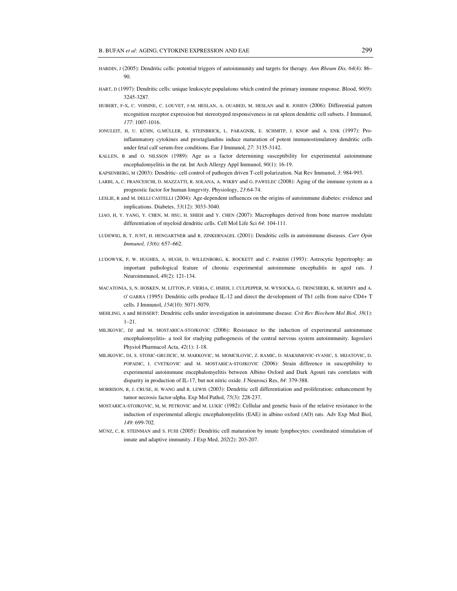- HARDIN, J (2005): Dendritic cells: potential triggers of autoimmunity and targets for therapy. *Ann Rheum Dis, 64*(4): 86– 90.
- HART, D (1997): Dendritic cells: unique leukocyte populations which control the primary immune response. Blood, *90*(9): 3245-3287.
- HUBERT, F-X, C. VOISINE, C. LOUVET, J-M. HESLAN, A. OUABED, M. HESLAN and R. JOSIEN (2006): Differential pattern recognition receptor expression but stereotyped responsiveness in rat spleen dendritic cell subsets. J Immunol, *177*: 1007-1016.
- JONULEIT, H, U. KÜHN, G.MÜLLER, K. STEINBRICK, L. PARAGNIK, E. SCHMITP, J. KNOP and A. ENK (1997): Proinflammatory cytokines and prostaglandins induce maturation of potent immunostimulatory dendritic cells under fetal calf serum-free conditions. Eur J Immunol, *27*: 3135-3142.
- KALLEN, B and O. NILSSON (1989): Age as a factor determining susceptibility for experimental autoimmune encephalomyelitis in the rat. Int Arch Allergy Appl Immunol, *90*(1): 16-19.
- KAPSENBERG, M (2003): Dendritic- cell control of pathogen driven T-cell polarization. Nat Rev Immunol, *3*: 984-993.
- LARBI, A, C. FRANCESCHI, D. MAZZATTI, R. SOLANA, A. WIKBY and G. PAWELEC (2008): Aging of the immune system as a prognostic factor for human longevity. Physiology, *23*:64-74.
- LESLIE, R and M. DELLI CASTELLI (2004): Age-dependent influences on the origins of autoimmune diabetes: evidence and implications. Diabetes, *53*(12): 3033-3040.
- LIAO, H, Y. YANG, Y. CHEN, M. HSU, H. SHIEH and Y. CHEN (2007): Macrophages derived from bone marrow modulate differentiation of myeloid dendritic cells. Cell Mol Life Sci *64*: 104-111.
- LUDEWIG, B, T. JUNT, H. HENGARTNER and R. ZINKERNAGEL (2001): Dendritic cells in autoimmune diseases. *Curr Opin Immunol, 13*(6): 657–662.
- LUDOWYK, P, W. HUGHES, A. HUGH, D. WILLENBORG, K. ROCKETT and C. PARISH (1993): Astrocytic hypertrophy: an important pathological feature of chronic experimental autoimmune encephalitis in aged rats. J Neuroimmunol, *48*(2): 121-134.
- MACATONIA, S, N. HOSKEN, M. LITTON, P. VIERIA, C. HSIEH, J. CULPEPPER, M. WYSOCKA, G. TRINCHIERI, K. MURPHY and A. O' GARRA (1995): Dendritic cells produce IL-12 and direct the development of Th1 cells from naive CD4+ T cells. J Immunol, *154*(10): 5071-5079.
- MEHLING, A and BEISSERT: Dendritic cells under investigation in autoimmune disease. *Crit Rev Biochem Mol Biol, 38*(1): 1–21.
- MILJKOVIC, DJ and M. MOSTARICA-STOJKOVIC (2006): Resistance to the induction of experimental autoimmune encephalomyelitis- a tool for studying pathogenesis of the central nervous system autoimmunity. Iugoslavi Physiol Pharmacol Acta, *42*(1): 1-18.
- MILJKOVIC, DJ, S. STOSIC-GRUJICIC, M. MARKOVIC, M. MOMCILOVIC, Z. RAMIC, D. MAKSIMOVIC-IVANIC, S. MIJATOVIC, D. POPADIC, I. CVETKOVIC and M. MOSTARICA-STOJKOVIC (2006): Strain difference in susceptibility to experimental autoimmune encephalomyelitis between Albino Oxford and Dark Agouti rats correlates with disparity in production of IL-17, but not nitric oxide. J Neurosci Res, *84*: 379-388.
- MORRISON, R, J. CRUSE, H. WANG and R. LEWIS (2003): Dendritic cell differentiation and proliferation: enhancement by tumor necrosis factor-alpha. Exp Mol Pathol, *75*(3): 228-237.
- MOSTARICA-STOJKOVIC, M, M. PETROVIC and M. LUKIC (1982): Cellular and genetic basis of the relative resistance to the induction of experimental allergic encephalomyelitis (EAE) in albino oxford (AO) rats. Adv Exp Med Biol, *149*: 699-702.
- MÜNZ, C, R. STEINMAN and S. FUJII (2005): Dendritic cell maturation by innate lymphocytes: coordinated stimulation of innate and adaptive immunity. J Exp Med, *202*(2): 203-207.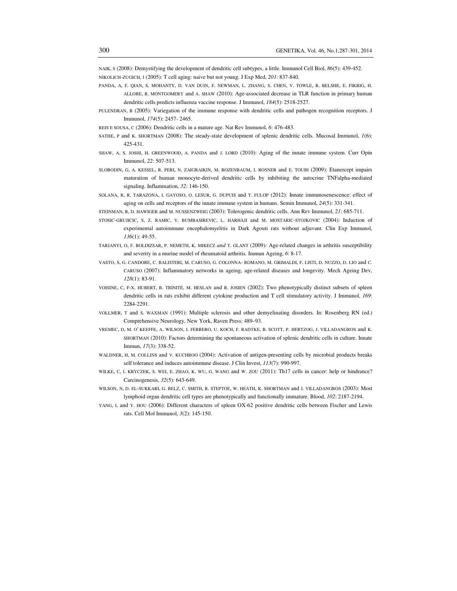NAIK, S (2008): Demystifying the development of dendritic cell subtypes, a little. Immunol Cell Biol, *86*(5): 439-452. NIKOLICH-ZUGICH, J (2005): T cell aging: naive but not young. J Exp Med, *201*: 837-840.

- PANDA, A, F. QIAN, S. MOHANTY, D. VAN DUIN, F. NEWMAN, L. ZHANG, S. CHEN, V. TOWLE, R. BELSHE, E. FIKRIG, H. ALLORE, R. MONTGOMERY and A. SHAW (2010): Age-associated decrease in TLR function in primary human dendritic cells predicts influenza vaccine response. J Immunol, *184*(5): 2518-2527.
- PULENDRAN, B (2005): Variegation of the immune response with dendritic cells and pathogen recognition receptors. J Immunol, *174*(5): 2457- 2465.
- REIS E SOUSA, C (2006): Dendritic cells in a mature age. Nat Rev Immunol, *6*: 476-483.
- SATHE, P and K. SHORTMAN (2008): The steady-state development of splenic dendritic cells. Mucosal Immunol, *1*(6): 425-431.
- SHAW, A, S. JOSHI, H. GREENWOOD, A. PANDA and J. LORD (2010): Aging of the innate immune system. Curr Opin Immunol, *22*: 507-513.
- SLOBODIN, G, A. KESSEL, R. PERI, N. ZAIGRAIKIN, M. ROZENBAUM, I. ROSNER and E. TOUBI (2009): Etanercept impairs maturation of human monocyte-derived dendritic cells by inhibiting the autocrine TNFalpha-mediated signaling. Inflammation, *32*: 146-150.
- SOLANA, R, R. TARAZONA, I. GAYOSO, O. LESUR, G. DUPUIS and T. FULOP (2012): Innate immunosenescence: effect of aging on cells and receptors of the innate immune system in humans. Semin Immunol, *24*(5): 331-341.
- STEINMAN, R, D. HAWIGER and M. NUSSENZWEIG (2003): Tolerogenic dendritic cells. Ann Rev Immunol, *21*: 685-711.
- STOSIC-GRUJICIC, S, Z. RAMIC, V. BUMBASIREVIC, L. HARHAJI and M. MOSTARIC-STOJKOVIC (2004): Induction of experimental autoimmune encephalomyelitis in Dark Agouti rats without adjuvant. Clin Exp Immunol, *136*(1): 49-55.
- TARJANYI, O, F. BOLDIZSAR, P. NEMETH, K. MIKECZ *and* T. GLANT (2009)*:* Age-related changes in arthritis susceptibility and severity in a murine model of rheumatoid arthritis. Immun Ageing, *6*: 8-17.
- VASTO, S, G. CANDORE, C. BALISTERI, M. CARUSO, G. COLONNA- ROMANO, M. GRIMALDI, F. LISTI, D. NUZZO, D. LIO and C. CARUSO (2007): Inflammatory networks in ageing, age-related diseases and longevity. Mech Ageing Dev, *128*(1): 83-91.
- VOISINE, C, F-X. HUBERT, B. TRINITÉ, M. HESLAN and R. JOSIEN (2002): Two phenotypically distinct subsets of spleen dendritic cells in rats exhibit different cytokine production and T cell stimulatory activity. J Immunol, *169*: 2284-2291.
- VOLLMER, T and S. WAXMAN (1991): Multiple sclerosis and other demyelinating disorders. In: Rosenberg RN (ed.) Comprehensive Neurology, New York, Raven Press: 489–93.
- VREMEC, D, M. O' KEEFFE, A. WILSON, I. FERRERO, U. KOCH, F. RADTKE, B. SCOTT, P. HERTZOG, J. VILLADANGROS and K. SHORTMAN (2010): Factors determining the spontaneous activation of splenic dendritic cells in culture. Innate Immun, *17*(3): 338-52.
- WALDNER, H, M. COLLINS and V. KUCHROO (2004): Activation of antigen-presenting cells by microbial products breaks self tolerance and induces autoimmune disease. J Clin Invest, *113*(7): 990-997.
- WILKE, C, I. KRYCZEK, S. WEI, E. ZHAO, K. WU, G. WANG and W. ZOU (2011): Th17 cells in cancer: help or hindrance? Carcinogenesis, *32*(5): 643-649.
- WILSON, N, D. EL-SUKKARI, G. BELZ, C. SMITH, R. STEPTOE, W. HEATH, K. SHORTMAN and J. VILLADANGROS (2003): Most lymphoid organ dendritic cell types are phenotypically and functionally immature. Blood, *102*: 2187-2194.
- YANG, L and Y. HOU (2006): Different characters of spleen OX-62 positive dendritic cells between Fischer and Lewis rats. Cell Mol Immunol, *3*(2): 145-150.